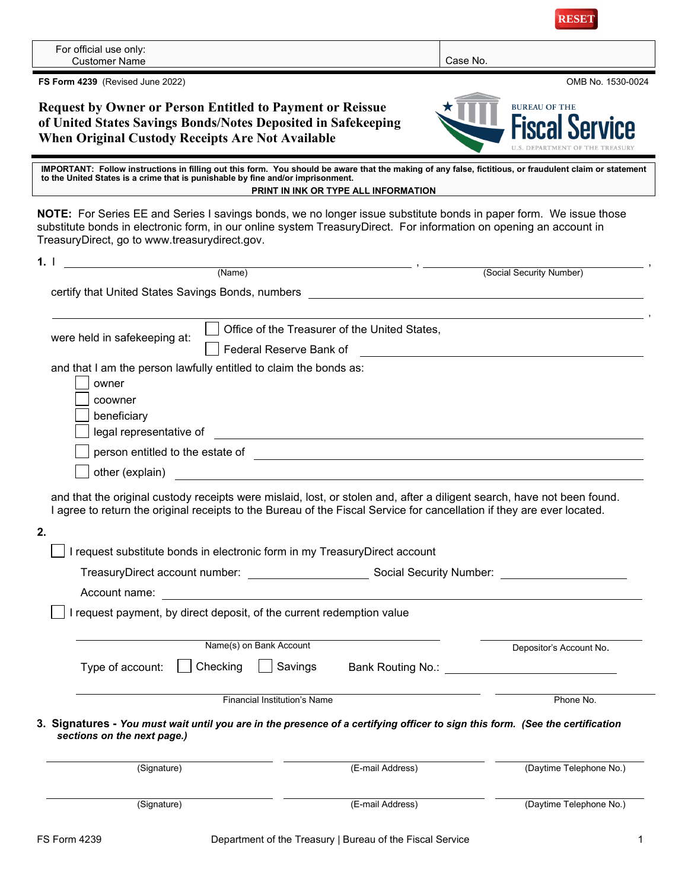| For official use only:<br><b>Customer Name</b>                                                                                                                                                                                                                                           |                                                    | Case No.                                       |  |  |  |  |
|------------------------------------------------------------------------------------------------------------------------------------------------------------------------------------------------------------------------------------------------------------------------------------------|----------------------------------------------------|------------------------------------------------|--|--|--|--|
| FS Form 4239 (Revised June 2022)                                                                                                                                                                                                                                                         |                                                    | OMB No. 1530-0024                              |  |  |  |  |
| <b>Request by Owner or Person Entitled to Payment or Reissue</b>                                                                                                                                                                                                                         |                                                    | <b>BUREAU OF THE</b>                           |  |  |  |  |
| of United States Savings Bonds/Notes Deposited in Safekeeping                                                                                                                                                                                                                            |                                                    |                                                |  |  |  |  |
| <b>When Original Custody Receipts Are Not Available</b><br><b>U.S. DEPARTMENT OF THE TREASURY</b>                                                                                                                                                                                        |                                                    |                                                |  |  |  |  |
| IMPORTANT: Follow instructions in filling out this form. You should be aware that the making of any false, fictitious, or fraudulent claim or statement<br>to the United States is a crime that is punishable by fine and/or imprisonment.<br>PRINT IN INK OR TYPE ALL INFORMATION       |                                                    |                                                |  |  |  |  |
| NOTE: For Series EE and Series I savings bonds, we no longer issue substitute bonds in paper form. We issue those<br>substitute bonds in electronic form, in our online system TreasuryDirect. For information on opening an account in<br>TreasuryDirect, go to www.treasurydirect.gov. |                                                    |                                                |  |  |  |  |
| $\qquad \qquad (Name) \qquad \qquad \blacksquare$<br>1.1                                                                                                                                                                                                                                 |                                                    | (Social Security Number)                       |  |  |  |  |
| certify that United States Savings Bonds, numbers [1982] [2012] [2013] [2013] [2014] [2014] [2014] [2014] [2014] [                                                                                                                                                                       |                                                    |                                                |  |  |  |  |
|                                                                                                                                                                                                                                                                                          |                                                    |                                                |  |  |  |  |
|                                                                                                                                                                                                                                                                                          | Office of the Treasurer of the United States,      |                                                |  |  |  |  |
| were held in safekeeping at:                                                                                                                                                                                                                                                             | Federal Reserve Bank of                            |                                                |  |  |  |  |
| and that I am the person lawfully entitled to claim the bonds as:                                                                                                                                                                                                                        |                                                    |                                                |  |  |  |  |
| owner                                                                                                                                                                                                                                                                                    |                                                    |                                                |  |  |  |  |
| coowner                                                                                                                                                                                                                                                                                  |                                                    |                                                |  |  |  |  |
| beneficiary                                                                                                                                                                                                                                                                              |                                                    |                                                |  |  |  |  |
|                                                                                                                                                                                                                                                                                          |                                                    |                                                |  |  |  |  |
| person entitled to the estate of <b>container and the estate of containing the set of the set of the set of the set of the set of the set of the set of the set of the set of the set of the set of the set of the set of the </b>                                                       |                                                    |                                                |  |  |  |  |
| other (explain)                                                                                                                                                                                                                                                                          | <u> 1980 - John Stein, Amerikaansk politiker (</u> |                                                |  |  |  |  |
| and that the original custody receipts were mislaid, lost, or stolen and, after a diligent search, have not been found.<br>I agree to return the original receipts to the Bureau of the Fiscal Service for cancellation if they are ever located.                                        |                                                    |                                                |  |  |  |  |
| 2.                                                                                                                                                                                                                                                                                       |                                                    |                                                |  |  |  |  |
|                                                                                                                                                                                                                                                                                          |                                                    |                                                |  |  |  |  |
| I request substitute bonds in electronic form in my TreasuryDirect account<br>TreasuryDirect account number: Social Security Number:                                                                                                                                                     |                                                    |                                                |  |  |  |  |
|                                                                                                                                                                                                                                                                                          |                                                    |                                                |  |  |  |  |
| Account name: <u>________________________________</u>                                                                                                                                                                                                                                    |                                                    |                                                |  |  |  |  |
| I request payment, by direct deposit, of the current redemption value                                                                                                                                                                                                                    |                                                    |                                                |  |  |  |  |
| Name(s) on Bank Account                                                                                                                                                                                                                                                                  |                                                    | Depositor's Account No.                        |  |  |  |  |
| Checking<br>Type of account:                                                                                                                                                                                                                                                             | Savings                                            | Bank Routing No.: <u>_____________________</u> |  |  |  |  |
|                                                                                                                                                                                                                                                                                          |                                                    |                                                |  |  |  |  |
|                                                                                                                                                                                                                                                                                          | <b>Financial Institution's Name</b>                | Phone No.                                      |  |  |  |  |
| 3. Signatures - You must wait until you are in the presence of a certifying officer to sign this form. (See the certification<br>sections on the next page.)                                                                                                                             |                                                    |                                                |  |  |  |  |
| (Signature)                                                                                                                                                                                                                                                                              | (E-mail Address)                                   | (Daytime Telephone No.)                        |  |  |  |  |
| (Signature)                                                                                                                                                                                                                                                                              | (E-mail Address)                                   | (Daytime Telephone No.)                        |  |  |  |  |

**RESET**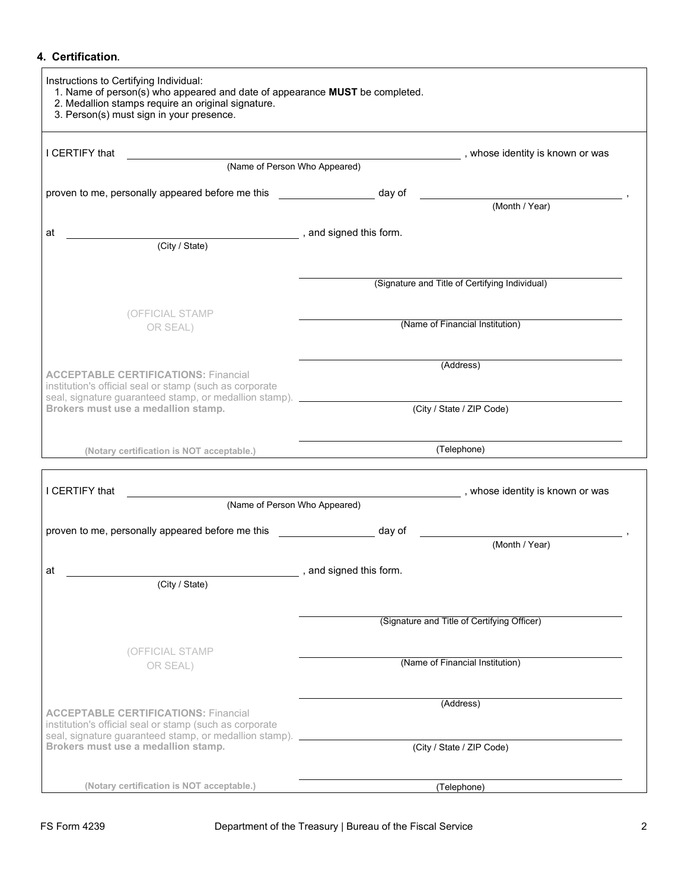## **4. Certification***.*

| Instructions to Certifying Individual:<br>1. Name of person(s) who appeared and date of appearance MUST be completed.<br>2. Medallion stamps require an original signature.<br>3. Person(s) must sign in your presence. |                                                                                                                |  |  |  |  |
|-------------------------------------------------------------------------------------------------------------------------------------------------------------------------------------------------------------------------|----------------------------------------------------------------------------------------------------------------|--|--|--|--|
| I CERTIFY that                                                                                                                                                                                                          | , whose identity is known or was                                                                               |  |  |  |  |
| (Name of Person Who Appeared)                                                                                                                                                                                           |                                                                                                                |  |  |  |  |
| proven to me, personally appeared before me this                                                                                                                                                                        | day of the state of the state of the state of the state of the state of the state of the state of the state of |  |  |  |  |
|                                                                                                                                                                                                                         | (Month / Year)                                                                                                 |  |  |  |  |
| at                                                                                                                                                                                                                      | , and signed this form.                                                                                        |  |  |  |  |
| (City / State)                                                                                                                                                                                                          |                                                                                                                |  |  |  |  |
|                                                                                                                                                                                                                         | (Signature and Title of Certifying Individual)                                                                 |  |  |  |  |
|                                                                                                                                                                                                                         |                                                                                                                |  |  |  |  |
| (OFFICIAL STAMP<br>OR SEAL)                                                                                                                                                                                             | (Name of Financial Institution)                                                                                |  |  |  |  |
| <b>ACCEPTABLE CERTIFICATIONS: Financial</b><br>institution's official seal or stamp (such as corporate                                                                                                                  | (Address)                                                                                                      |  |  |  |  |
| seal, signature guaranteed stamp, or medallion stamp).<br>Brokers must use a medallion stamp.                                                                                                                           | (City / State / ZIP Code)                                                                                      |  |  |  |  |
| (Notary certification is NOT acceptable.)                                                                                                                                                                               | (Telephone)                                                                                                    |  |  |  |  |
| I CERTIFY that                                                                                                                                                                                                          | , whose identity is known or was                                                                               |  |  |  |  |
| (Name of Person Who Appeared)                                                                                                                                                                                           |                                                                                                                |  |  |  |  |
| proven to me, personally appeared before me this                                                                                                                                                                        | day of                                                                                                         |  |  |  |  |
|                                                                                                                                                                                                                         | (Month / Year)                                                                                                 |  |  |  |  |
| аt                                                                                                                                                                                                                      | and signed this form.                                                                                          |  |  |  |  |
| (City / State)                                                                                                                                                                                                          |                                                                                                                |  |  |  |  |
|                                                                                                                                                                                                                         | (Signature and Title of Certifying Officer)                                                                    |  |  |  |  |
|                                                                                                                                                                                                                         |                                                                                                                |  |  |  |  |
| (OFFICIAL STAMP<br>OR SEAL)                                                                                                                                                                                             | (Name of Financial Institution)                                                                                |  |  |  |  |
|                                                                                                                                                                                                                         | (Address)                                                                                                      |  |  |  |  |
| <b>ACCEPTABLE CERTIFICATIONS: Financial</b><br>institution's official seal or stamp (such as corporate<br>seal, signature guaranteed stamp, or medallion stamp).                                                        |                                                                                                                |  |  |  |  |
| Brokers must use a medallion stamp.                                                                                                                                                                                     | (City / State / ZIP Code)                                                                                      |  |  |  |  |
| (Notary certification is NOT acceptable.)                                                                                                                                                                               | (Telephone)                                                                                                    |  |  |  |  |